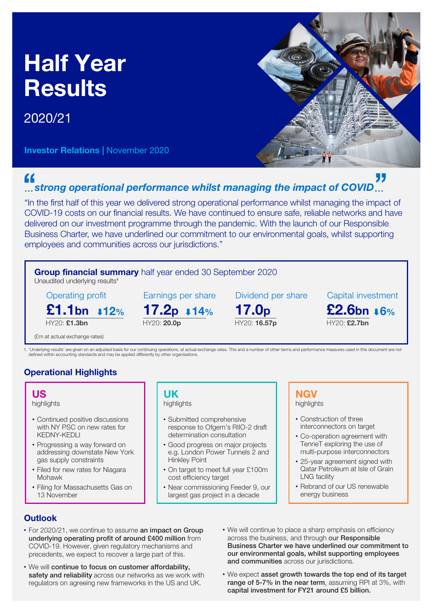## Half Year Results

## 2020/21

Investor Relations | November 2020



## " *strong operational performance whilst managing the impact of COVID*

"In the first half of this year we delivered strong operational performance whilst managing the impact of COVID-19 costs on our financial results. We have continued to ensure safe, reliable networks and have delivered on our investment programme through the pandemic. With the launch of our Responsible Business Charter, we have underlined our commitment to our environmental goals, whilst supporting employees and communities across our jurisdictions."



## **Outlook**

- For 2020/21, we continue to assume an impact on Group underlying operating profit of around £400 million from COVID-19. However, given regulatory mechanisms and precedents, we expect to recover a large part of this.
- We will continue to focus on customer affordability, safety and reliability across our networks as we work with regulators on agreeing new frameworks in the US and UK.
- We will continue to place a sharp emphasis on efficiency across the business, and through our Responsible Business Charter we have underlined our commitment to our environmental goals, whilst supporting employees and communities across our jurisdictions.
- We expect asset growth towards the top end of its target range of 5-7% in the near term, assuming RPI at 3%, with capital investment for FY21 around £5 billion.